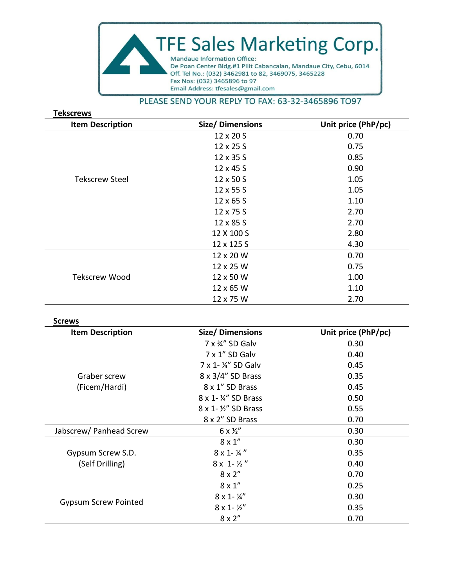

## PLEASE SEND YOUR REPLY TO FAX: 63-32-3465896 TO97

| <b>Tekscrews</b>        |                 |                     |  |  |  |  |  |
|-------------------------|-----------------|---------------------|--|--|--|--|--|
| <b>Item Description</b> | Size/Dimensions | Unit price (PhP/pc) |  |  |  |  |  |
|                         | 12 x 20 S       | 0.70                |  |  |  |  |  |
|                         | 12 x 25 S       | 0.75                |  |  |  |  |  |
|                         | 12 x 35 S       | 0.85                |  |  |  |  |  |
|                         | 12 x 45 S       | 0.90                |  |  |  |  |  |
| <b>Tekscrew Steel</b>   | 12 x 50 S       | 1.05                |  |  |  |  |  |
|                         | 12 x 55 S       | 1.05                |  |  |  |  |  |
|                         | 12 x 65 S       | 1.10                |  |  |  |  |  |
|                         | 12 x 75 S       | 2.70                |  |  |  |  |  |
|                         | 12 x 85 S       | 2.70                |  |  |  |  |  |
|                         | 12 X 100 S      | 2.80                |  |  |  |  |  |
|                         | 12 x 125 S      | 4.30                |  |  |  |  |  |
|                         | 12 x 20 W       | 0.70                |  |  |  |  |  |
|                         | 12 x 25 W       | 0.75                |  |  |  |  |  |
| <b>Tekscrew Wood</b>    | 12 x 50 W       | 1.00                |  |  |  |  |  |
|                         | 12 x 65 W       | 1.10                |  |  |  |  |  |
|                         | 12 x 75 W       | 2.70                |  |  |  |  |  |

## **Screws**

| <b>Item Description</b>       | Size/Dimensions            | Unit price (PhP/pc) |
|-------------------------------|----------------------------|---------------------|
|                               | 7 x 34" SD Galv            | 0.30                |
|                               | 7 x 1" SD Galv             | 0.40                |
|                               | 7 x 1 - ¼" SD Galv         | 0.45                |
| Graber screw<br>(Ficem/Hardi) | $8 \times 3/4$ " SD Brass  | 0.35                |
|                               | 8 x 1" SD Brass            | 0.45                |
|                               | 8 x 1- ¼" SD Brass         | 0.50                |
|                               | 8 x 1 - 1/2" SD Brass      | 0.55                |
|                               | 8 x 2" SD Brass            | 0.70                |
| Jabscrew/ Panhead Screw       | $6 \times \frac{1}{2}$     | 0.30                |
|                               | $8 \times 1$ "             | 0.30                |
| Gypsum Screw S.D.             | $8 \times 1 - \frac{1}{4}$ | 0.35                |
| (Self Drilling)               | $8 \times 1 - \frac{1}{2}$ | 0.40                |
|                               | $8 \times 2"$              | 0.70                |
| <b>Gypsum Screw Pointed</b>   | $8 \times 1"$              | 0.25                |
|                               | $8 \times 1 - \frac{1}{4}$ | 0.30                |
|                               | $8 \times 1 - \frac{1}{2}$ | 0.35                |
|                               | $8 \times 2"$              | 0.70                |